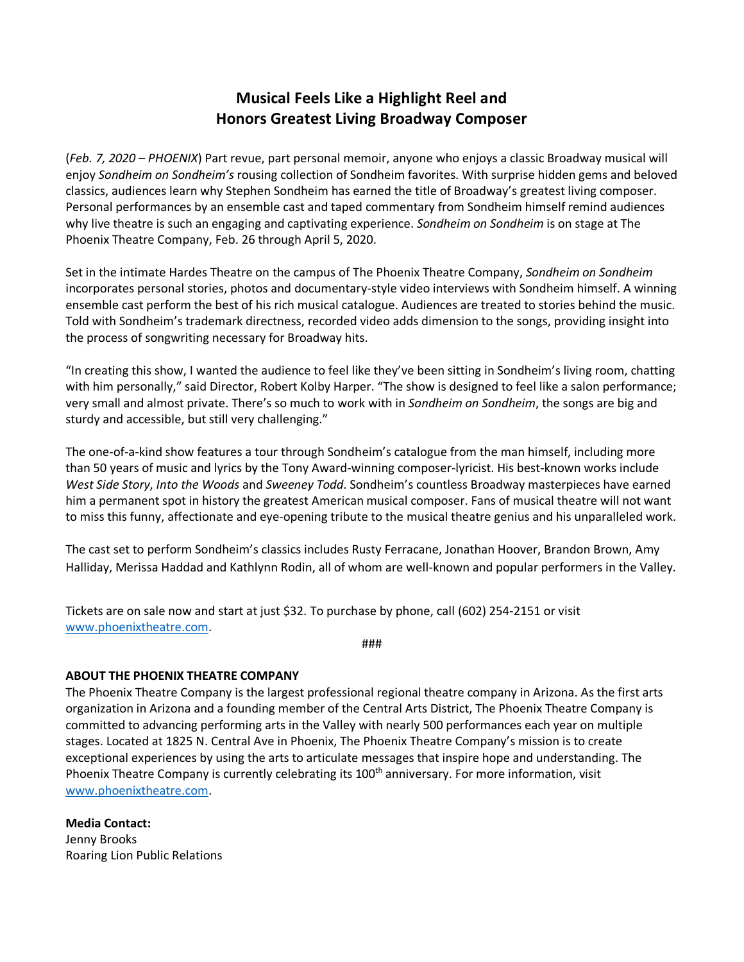## **Musical Feels Like a Highlight Reel and Honors Greatest Living Broadway Composer**

(*Feb. 7, 2020 – PHOENIX*) Part revue, part personal memoir, anyone who enjoys a classic Broadway musical will enjoy *Sondheim on Sondheim's* rousing collection of Sondheim favorites. With surprise hidden gems and beloved classics, audiences learn why Stephen Sondheim has earned the title of Broadway's greatest living composer. Personal performances by an ensemble cast and taped commentary from Sondheim himself remind audiences why live theatre is such an engaging and captivating experience. *Sondheim on Sondheim* is on stage at The Phoenix Theatre Company, Feb. 26 through April 5, 2020.

Set in the intimate Hardes Theatre on the campus of The Phoenix Theatre Company, *Sondheim on Sondheim*  incorporates personal stories, photos and documentary-style video interviews with Sondheim himself. A winning ensemble cast perform the best of his rich musical catalogue. Audiences are treated to stories behind the music. Told with Sondheim's trademark directness, recorded video adds dimension to the songs, providing insight into the process of songwriting necessary for Broadway hits.

"In creating this show, I wanted the audience to feel like they've been sitting in Sondheim's living room, chatting with him personally," said Director, Robert Kolby Harper. "The show is designed to feel like a salon performance; very small and almost private. There's so much to work with in *Sondheim on Sondheim*, the songs are big and sturdy and accessible, but still very challenging."

The one-of-a-kind show features a tour through Sondheim's catalogue from the man himself, including more than 50 years of music and lyrics by the Tony Award-winning composer-lyricist. His best-known works include *West Side Story*, *Into the Woods* and *Sweeney Todd*. Sondheim's countless Broadway masterpieces have earned him a permanent spot in history the greatest American musical composer. Fans of musical theatre will not want to miss this funny, affectionate and eye-opening tribute to the musical theatre genius and his unparalleled work.

The cast set to perform Sondheim's classics includes Rusty Ferracane, Jonathan Hoover, Brandon Brown, Amy Halliday, Merissa Haddad and Kathlynn Rodin, all of whom are well-known and popular performers in the Valley.

Tickets are on sale now and start at just \$32. To purchase by phone, call (602) 254-2151 or visit www.phoenixtheatre.com.

###

## **ABOUT THE PHOENIX THEATRE COMPANY**

The Phoenix Theatre Company is the largest professional regional theatre company in Arizona. As the first arts organization in Arizona and a founding member of the Central Arts District, The Phoenix Theatre Company is committed to advancing performing arts in the Valley with nearly 500 performances each year on multiple stages. Located at 1825 N. Central Ave in Phoenix, The Phoenix Theatre Company's mission is to create exceptional experiences by using the arts to articulate messages that inspire hope and understanding. The Phoenix Theatre Company is currently celebrating its 100<sup>th</sup> anniversary. For more information, visit www.phoenixtheatre.com.

**Media Contact:**  Jenny Brooks Roaring Lion Public Relations